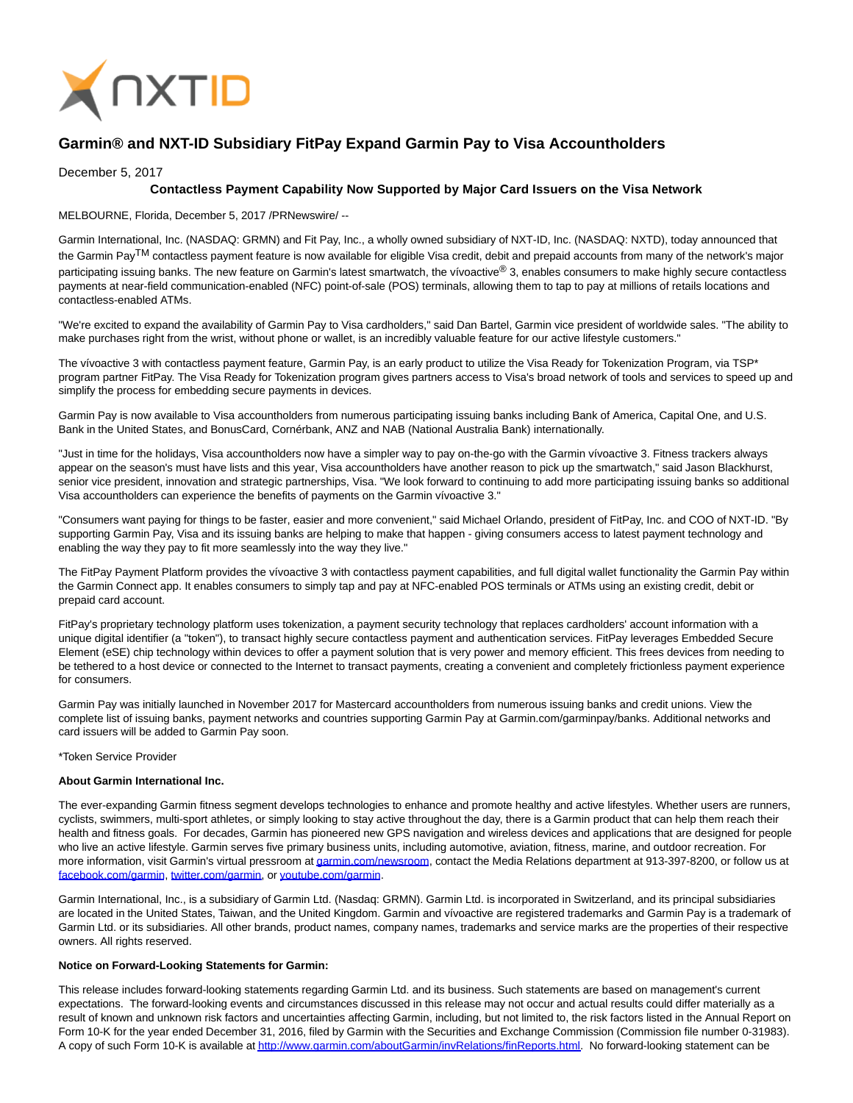

# **Garmin® and NXT-ID Subsidiary FitPay Expand Garmin Pay to Visa Accountholders**

### December 5, 2017

# **Contactless Payment Capability Now Supported by Major Card Issuers on the Visa Network**

MELBOURNE, Florida, December 5, 2017 /PRNewswire/ --

Garmin International, Inc. (NASDAQ: GRMN) and Fit Pay, Inc., a wholly owned subsidiary of NXT-ID, Inc. (NASDAQ: NXTD), today announced that the Garmin PayTM contactless payment feature is now available for eligible Visa credit, debit and prepaid accounts from many of the network's major participating issuing banks. The new feature on Garmin's latest smartwatch, the vívoactive® 3, enables consumers to make highly secure contactless payments at near-field communication-enabled (NFC) point-of-sale (POS) terminals, allowing them to tap to pay at millions of retails locations and contactless-enabled ATMs.

"We're excited to expand the availability of Garmin Pay to Visa cardholders," said Dan Bartel, Garmin vice president of worldwide sales. "The ability to make purchases right from the wrist, without phone or wallet, is an incredibly valuable feature for our active lifestyle customers."

The vívoactive 3 with contactless payment feature, Garmin Pay, is an early product to utilize the Visa Ready for Tokenization Program, via TSP\* program partner FitPay. The Visa Ready for Tokenization program gives partners access to Visa's broad network of tools and services to speed up and simplify the process for embedding secure payments in devices.

Garmin Pay is now available to Visa accountholders from numerous participating issuing banks including Bank of America, Capital One, and U.S. Bank in the United States, and BonusCard, Cornérbank, ANZ and NAB (National Australia Bank) internationally.

"Just in time for the holidays, Visa accountholders now have a simpler way to pay on-the-go with the Garmin vívoactive 3. Fitness trackers always appear on the season's must have lists and this year, Visa accountholders have another reason to pick up the smartwatch," said Jason Blackhurst, senior vice president, innovation and strategic partnerships, Visa. "We look forward to continuing to add more participating issuing banks so additional Visa accountholders can experience the benefits of payments on the Garmin vívoactive 3."

"Consumers want paying for things to be faster, easier and more convenient," said Michael Orlando, president of FitPay, Inc. and COO of NXT-ID. "By supporting Garmin Pay, Visa and its issuing banks are helping to make that happen - giving consumers access to latest payment technology and enabling the way they pay to fit more seamlessly into the way they live."

The FitPay Payment Platform provides the vívoactive 3 with contactless payment capabilities, and full digital wallet functionality the Garmin Pay within the Garmin Connect app. It enables consumers to simply tap and pay at NFC-enabled POS terminals or ATMs using an existing credit, debit or prepaid card account.

FitPay's proprietary technology platform uses tokenization, a payment security technology that replaces cardholders' account information with a unique digital identifier (a "token"), to transact highly secure contactless payment and authentication services. FitPay leverages Embedded Secure Element (eSE) chip technology within devices to offer a payment solution that is very power and memory efficient. This frees devices from needing to be tethered to a host device or connected to the Internet to transact payments, creating a convenient and completely frictionless payment experience for consumers.

Garmin Pay was initially launched in November 2017 for Mastercard accountholders from numerous issuing banks and credit unions. View the complete list of issuing banks, payment networks and countries supporting Garmin Pay at Garmin.com/garminpay/banks. Additional networks and card issuers will be added to Garmin Pay soon.

#### \*Token Service Provider

#### **About Garmin International Inc.**

The ever-expanding Garmin fitness segment develops technologies to enhance and promote healthy and active lifestyles. Whether users are runners, cyclists, swimmers, multi-sport athletes, or simply looking to stay active throughout the day, there is a Garmin product that can help them reach their health and fitness goals. For decades, Garmin has pioneered new GPS navigation and wireless devices and applications that are designed for people who live an active lifestyle. Garmin serves five primary business units, including automotive, aviation, fitness, marine, and outdoor recreation. For more information, visit Garmin's virtual pressroom a[t garmin.com/newsroom,](http://www.garmin.com/newsroom) contact the Media Relations department at 913-397-8200, or follow us at [facebook.com/garmin,](http://www.facebook.com/garmin) [twitter.com/garmin,](http://www.twitter.com/garmin) o[r youtube.com/garmin.](http://www.youtube.com/garmin)

Garmin International, Inc., is a subsidiary of Garmin Ltd. (Nasdaq: GRMN). Garmin Ltd. is incorporated in Switzerland, and its principal subsidiaries are located in the United States, Taiwan, and the United Kingdom. Garmin and vívoactive are registered trademarks and Garmin Pay is a trademark of Garmin Ltd. or its subsidiaries. All other brands, product names, company names, trademarks and service marks are the properties of their respective owners. All rights reserved.

#### **Notice on Forward-Looking Statements for Garmin:**

This release includes forward-looking statements regarding Garmin Ltd. and its business. Such statements are based on management's current expectations. The forward-looking events and circumstances discussed in this release may not occur and actual results could differ materially as a result of known and unknown risk factors and uncertainties affecting Garmin, including, but not limited to, the risk factors listed in the Annual Report on Form 10-K for the year ended December 31, 2016, filed by Garmin with the Securities and Exchange Commission (Commission file number 0-31983). A copy of such Form 10-K is available a[t http://www.garmin.com/aboutGarmin/invRelations/finReports.html.](http://www.garmin.com/aboutGarmin/invRelations/finReports.html) No forward-looking statement can be